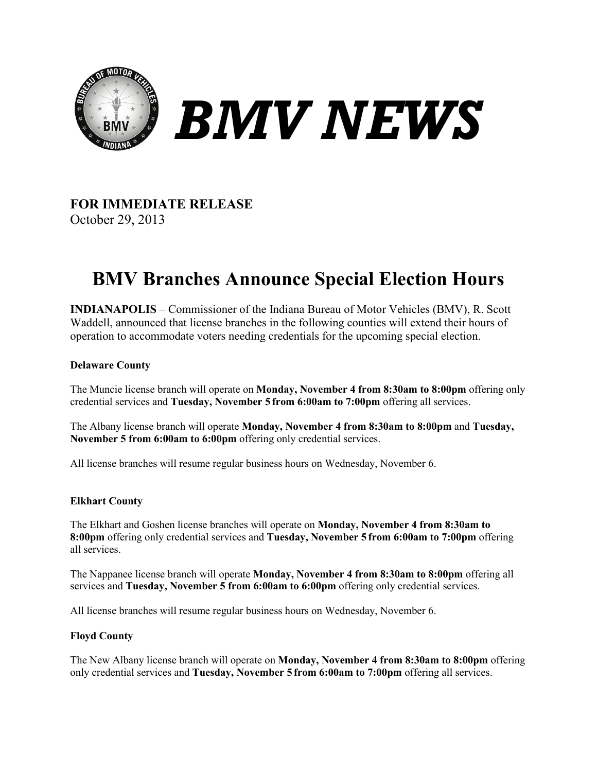

# *BMV NEWS*

### **FOR IMMEDIATE RELEASE** October 29, 2013

## **BMV Branches Announce Special Election Hours**

**INDIANAPOLIS** – Commissioner of the Indiana Bureau of Motor Vehicles (BMV), R. Scott Waddell, announced that license branches in the following counties will extend their hours of operation to accommodate voters needing credentials for the upcoming special election.

#### **Delaware County**

The Muncie license branch will operate on **Monday, November 4 from 8:30am to 8:00pm** offering only credential services and **Tuesday, November 5 from 6:00am to 7:00pm** offering all services.

The Albany license branch will operate **Monday, November 4 from 8:30am to 8:00pm** and **Tuesday, November 5 from 6:00am to 6:00pm** offering only credential services.

All license branches will resume regular business hours on Wednesday, November 6.

#### **Elkhart County**

The Elkhart and Goshen license branches will operate on **Monday, November 4 from 8:30am to 8:00pm** offering only credential services and **Tuesday, November 5 from 6:00am to 7:00pm** offering all services.

The Nappanee license branch will operate **Monday, November 4 from 8:30am to 8:00pm** offering all services and **Tuesday, November 5 from 6:00am to 6:00pm** offering only credential services.

All license branches will resume regular business hours on Wednesday, November 6.

#### **Floyd County**

The New Albany license branch will operate on **Monday, November 4 from 8:30am to 8:00pm** offering only credential services and **Tuesday, November 5 from 6:00am to 7:00pm** offering all services.